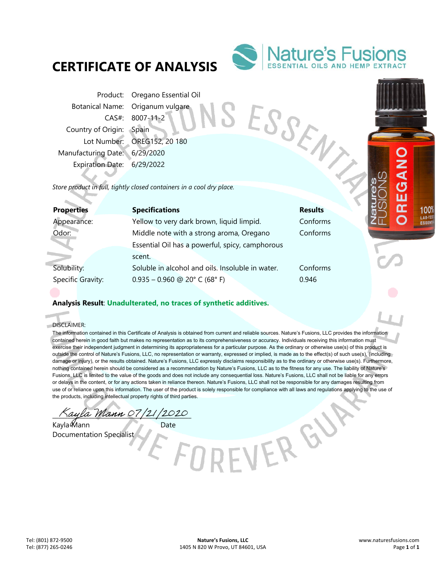# **CERTIFICATE OF ANALYSIS**



Product: Oregano Essential Oil Botanical Name: Origanum vulgare CAS#: 8007-11-2 Country of Origin: Spain Lot Number: OREG152, 20 180 Manufacturing Date: 6/29/2020 Expiration Date: 6/29/2022 Product Name: Origanum ve CAS#: 8007-11-2<br>
Country of Origin: Spain<br>
Lot Number: OREG152, 20 180<br>
Manufacturing Date: 6/29/2020<br>
Expiration Date: 6/29/2022<br>
Store product in full, tightly closed containers in a cool dry pl

| <b>Properties</b> | <b>Specifications</b>                            | <b>Results</b> |
|-------------------|--------------------------------------------------|----------------|
| Appearance:       | Yellow to very dark brown, liquid limpid.        | Conforms       |
| Odor:             | Middle note with a strong aroma, Oregano         | Conforms       |
|                   | Essential Oil has a powerful, spicy, camphorous  |                |
|                   | scent.                                           |                |
| Solubility:       | Soluble in alcohol and oils. Insoluble in water. | Conforms       |
| Specific Gravity: | $0.935 - 0.960$ @ 20° C (68° F)                  | 0.946          |
|                   |                                                  |                |

## **Analysis Result**: **Unadulterated, no traces of synthetic additives.**

DISCLAIMER:

i.

The information contained in this Certificate of Analysis is obtained from current and reliable sources. Nature's Fusions, LLC provides the information contained herein in good faith but makes no representation as to its comprehensiveness or accuracy. Individuals receiving this information must exercise their independent judgment in determining its appropriateness for a particular purpose. As the ordinary or otherwise use(s) of this product is outside the control of Nature's Fusions, LLC, no representation or warranty, expressed or implied, is made as to the effect(s) of such use(s), (including damage or injury), or the results obtained. Nature's Fusions, LLC expressly disclaims responsibility as to the ordinary or otherwise use(s). Furthermore, nothing contained herein should be considered as a recommendation by Nature's Fusions, LLC as to the fitness for any use. The liability of Nature's Fusions, LLC is limited to the value of the goods and does not include any consequential loss. Nature's Fusions, LLC shall not be liable for any errors or delays in the content, or for any actions taken in reliance thereon. Nature's Fusions, LLC shall not be responsible for any damages resulting from use of or reliance upon this information. The user of the product is solely responsible for compliance with all laws and regulations applying to the use of the products, including intellectual property rights of third parties.

VERGU

 $\frac{1}{2}$ ayla Mann 07/21/2020

Kayla Mann Date Documentation Specialist

1009 LAB-TES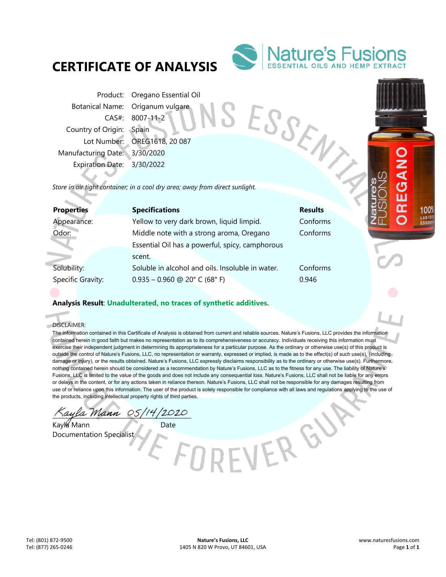# **CERTIFICATE OF ANALYSIS**



Product: Oregano Essential Oil Botanical Name: Origanum vulgare CAS#: 8007-11-2 Country of Origin: Spain Lot Number: OREG1618, 20 087 Manufacturing Date: 3/30/2020 Expiration Date: 3/30/2022 From Botanical Name: Origanum ...<br>
CAS#: 8007-11-2<br>
Country of Origin: Spain<br>
Lot Number: OREG1618, 20 087<br>
Manufacturing Date: 3/30/2020<br>
Expiration Date: 3/30/2022<br>
Store in air tight container; in a cool dry area; away

| <b>Properties</b> | <b>Specifications</b>                            | <b>Results</b> |
|-------------------|--------------------------------------------------|----------------|
| Appearance:       | Yellow to very dark brown, liquid limpid.        | Conforms       |
| Odor:             | Middle note with a strong aroma, Oregano         | Conforms       |
|                   | Essential Oil has a powerful, spicy, camphorous  |                |
|                   | scent.                                           |                |
| Solubility:       | Soluble in alcohol and oils. Insoluble in water. | Conforms       |
| Specific Gravity: | $0.935 - 0.960$ @ 20° C (68° F)                  | 0.946          |
|                   |                                                  |                |

## **Analysis Result**: **Unadulterated, no traces of synthetic additives.**

DISCLAIMER:

× ó

> The information contained in this Certificate of Analysis is obtained from current and reliable sources. Nature's Fusions, LLC provides the information contained herein in good faith but makes no representation as to its comprehensiveness or accuracy. Individuals receiving this information must exercise their independent judgment in determining its appropriateness for a particular purpose. As the ordinary or otherwise use(s) of this product is outside the control of Nature's Fusions, LLC, no representation or warranty, expressed or implied, is made as to the effect(s) of such use(s), (including damage or injury), or the results obtained. Nature's Fusions, LLC expressly disclaims responsibility as to the ordinary or otherwise use(s). Furthermore, nothing contained herein should be considered as a recommendation by Nature's Fusions, LLC as to the fitness for any use. The liability of Nature's Fusions, LLC is limited to the value of the goods and does not include any consequential loss. Nature's Fusions, LLC shall not be liable for any errors or delays in the content, or for any actions taken in reliance thereon. Nature's Fusions, LLC shall not be responsible for any damages resulting from use of or reliance upon this information. The user of the product is solely responsible for compliance with all laws and regulations applying to the use of the products, including intellectual property rights of third parties.

> > VERGU

\_\_\_\_\_\_\_\_\_\_\_\_\_\_\_\_\_\_\_\_\_\_\_\_\_\_\_\_\_\_\_\_\_\_\_\_\_\_\_\_\_\_\_\_\_\_

Kayla Mann Date Documentation Specialist

1009 LAB-TES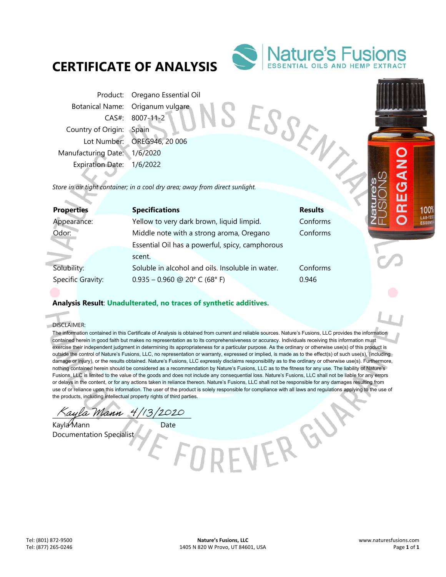# **CERTIFICATE OF ANALYSIS**



Product: Oregano Essential Oil Botanical Name: Origanum vulgare CAS#: 8007-11-2 Country of Origin: Spain Lot Number: OREG946, 20 006 Manufacturing Date: 1/6/2020 Expiration Date: 1/6/2022 From Botanical Name: Origanum<br>
CAS#: 8007-11-2<br>
Country of Origin: Spain<br>
Lot Number: OREG946, 20 006<br>
Manufacturing Date: 1/6/2020<br>
Expiration Date: 1/6/2022<br>
Store in air tight container; in a cool dry area; away from di

| <b>Properties</b> | <b>Specifications</b>                            | <b>Results</b> |
|-------------------|--------------------------------------------------|----------------|
| Appearance:       | Yellow to very dark brown, liquid limpid.        | Conforms       |
| Odor:             | Middle note with a strong aroma, Oregano         | Conforms       |
|                   | Essential Oil has a powerful, spicy, camphorous  |                |
|                   | scent.                                           |                |
| Solubility:       | Soluble in alcohol and oils. Insoluble in water. | Conforms       |
| Specific Gravity: | $0.935 - 0.960$ @ 20° C (68° F)                  | 0.946          |
|                   |                                                  |                |

## **Analysis Result**: **Unadulterated, no traces of synthetic additives.**

DISCLAIMER:

× ó

> The information contained in this Certificate of Analysis is obtained from current and reliable sources. Nature's Fusions, LLC provides the information contained herein in good faith but makes no representation as to its comprehensiveness or accuracy. Individuals receiving this information must exercise their independent judgment in determining its appropriateness for a particular purpose. As the ordinary or otherwise use(s) of this product is outside the control of Nature's Fusions, LLC, no representation or warranty, expressed or implied, is made as to the effect(s) of such use(s), (including damage or injury), or the results obtained. Nature's Fusions, LLC expressly disclaims responsibility as to the ordinary or otherwise use(s). Furthermore, nothing contained herein should be considered as a recommendation by Nature's Fusions, LLC as to the fitness for any use. The liability of Nature's Fusions, LLC is limited to the value of the goods and does not include any consequential loss. Nature's Fusions, LLC shall not be liable for any errors or delays in the content, or for any actions taken in reliance thereon. Nature's Fusions, LLC shall not be responsible for any damages resulting from use of or reliance upon this information. The user of the product is solely responsible for compliance with all laws and regulations applying to the use of the products, including intellectual property rights of third parties.

> > VERGU

ayla Mann 4/13/2020

Kayla Mann Date Documentation Specialist

1009 LAB-TE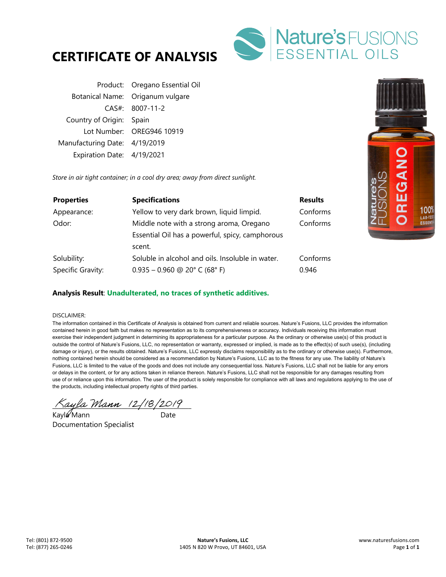



Product: Oregano Essential Oil Botanical Name: Origanum vulgare CAS#: 8007-11-2 Country of Origin: Spain Lot Number: OREG946 10919 Manufacturing Date: 4/19/2019 Expiration Date: 4/19/2021

*Store in air tight container; in a cool dry area; away from direct sunlight.* 

| <b>Properties</b> | <b>Specifications</b>                            | <b>Results</b> |
|-------------------|--------------------------------------------------|----------------|
| Appearance:       | Yellow to very dark brown, liquid limpid.        | Conforms       |
| Odor:             | Middle note with a strong aroma, Oregano         | Conforms       |
|                   | Essential Oil has a powerful, spicy, camphorous  |                |
|                   | scent.                                           |                |
| Solubility:       | Soluble in alcohol and oils. Insoluble in water. | Conforms       |
| Specific Gravity: | $0.935 - 0.960$ @ 20° C (68° F)                  | 0.946          |



#### DISCLAIMER:

The information contained in this Certificate of Analysis is obtained from current and reliable sources. Nature's Fusions, LLC provides the information contained herein in good faith but makes no representation as to its comprehensiveness or accuracy. Individuals receiving this information must exercise their independent judgment in determining its appropriateness for a particular purpose. As the ordinary or otherwise use(s) of this product is outside the control of Nature's Fusions, LLC, no representation or warranty, expressed or implied, is made as to the effect(s) of such use(s), (including damage or injury), or the results obtained. Nature's Fusions, LLC expressly disclaims responsibility as to the ordinary or otherwise use(s). Furthermore, nothing contained herein should be considered as a recommendation by Nature's Fusions, LLC as to the fitness for any use. The liability of Nature's Fusions, LLC is limited to the value of the goods and does not include any consequential loss. Nature's Fusions, LLC shall not be liable for any errors or delays in the content, or for any actions taken in reliance thereon. Nature's Fusions, LLC shall not be responsible for any damages resulting from use of or reliance upon this information. The user of the product is solely responsible for compliance with all laws and regulations applying to the use of the products, including intellectual property rights of third parties.

 $\Delta$ ayla Mann (2/18/2019)

Kayla Mann and Date Documentation Specialist

1009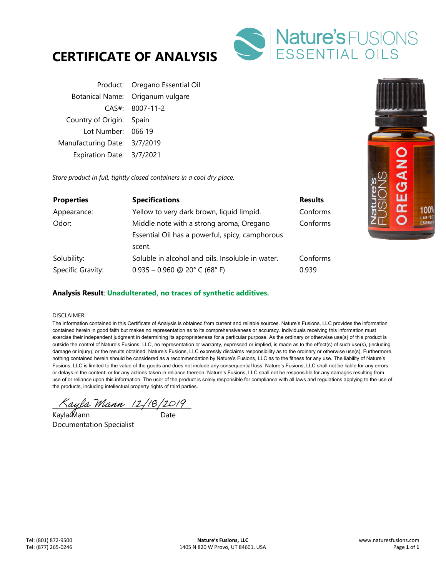



Product: Oregano Essential Oil Botanical Name: Origanum vulgare CAS#: 8007-11-2 Country of Origin: Spain Lot Number: 066 19 Manufacturing Date: 3/7/2019 Expiration Date: 3/7/2021

*Store product in full, tightly closed containers in a cool dry place.* 

| <b>Properties</b> | <b>Specifications</b>                            | <b>Results</b> |
|-------------------|--------------------------------------------------|----------------|
| Appearance:       | Yellow to very dark brown, liquid limpid.        | Conforms       |
| Odor:             | Middle note with a strong aroma, Oregano         | Conforms       |
|                   | Essential Oil has a powerful, spicy, camphorous  |                |
|                   | scent.                                           |                |
| Solubility:       | Soluble in alcohol and oils. Insoluble in water. | Conforms       |
| Specific Gravity: | $0.935 - 0.960$ @ 20° C (68° F)                  | 0.939          |

### **Analysis Result**: **Unadulterated, no traces of synthetic additives.**

#### DISCLAIMER:

The information contained in this Certificate of Analysis is obtained from current and reliable sources. Nature's Fusions, LLC provides the information contained herein in good faith but makes no representation as to its comprehensiveness or accuracy. Individuals receiving this information must exercise their independent judgment in determining its appropriateness for a particular purpose. As the ordinary or otherwise use(s) of this product is outside the control of Nature's Fusions, LLC, no representation or warranty, expressed or implied, is made as to the effect(s) of such use(s), (including damage or injury), or the results obtained. Nature's Fusions, LLC expressly disclaims responsibility as to the ordinary or otherwise use(s). Furthermore, nothing contained herein should be considered as a recommendation by Nature's Fusions, LLC as to the fitness for any use. The liability of Nature's Fusions, LLC is limited to the value of the goods and does not include any consequential loss. Nature's Fusions, LLC shall not be liable for any errors or delays in the content, or for any actions taken in reliance thereon. Nature's Fusions, LLC shall not be responsible for any damages resulting from use of or reliance upon this information. The user of the product is solely responsible for compliance with all laws and regulations applying to the use of the products, including intellectual property rights of third parties.

 $\land$ ayla Mann (2/18/2019)

Kayla��lann Date Documentation Specialist

1009